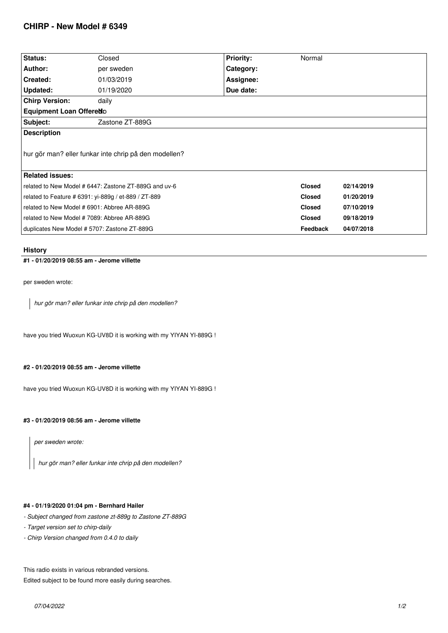# **CHIRP - New Model # 6349**

| <b>Status:</b>                                        | Closed          | <b>Priority:</b> | Normal          |            |
|-------------------------------------------------------|-----------------|------------------|-----------------|------------|
| Author:                                               | per sweden      | Category:        |                 |            |
| Created:                                              | 01/03/2019      | Assignee:        |                 |            |
| <b>Updated:</b>                                       | 01/19/2020      | Due date:        |                 |            |
| <b>Chirp Version:</b>                                 | daily           |                  |                 |            |
| <b>Equipment Loan Offeredo</b>                        |                 |                  |                 |            |
| Subject:                                              | Zastone ZT-889G |                  |                 |            |
| <b>Description</b>                                    |                 |                  |                 |            |
| hur gör man? eller funkar inte chrip på den modellen? |                 |                  |                 |            |
| <b>Related issues:</b>                                |                 |                  |                 |            |
| related to New Model # 6447: Zastone ZT-889G and uv-6 |                 |                  | <b>Closed</b>   | 02/14/2019 |
| related to Feature # 6391: yi-889g / et-889 / ZT-889  |                 |                  | <b>Closed</b>   | 01/20/2019 |
| related to New Model # 6901: Abbree AR-889G           |                 |                  | <b>Closed</b>   | 07/10/2019 |
| related to New Model #7089: Abbree AR-889G            |                 |                  | <b>Closed</b>   | 09/18/2019 |
| duplicates New Model # 5707: Zastone ZT-889G          |                 |                  | <b>Feedback</b> | 04/07/2018 |

**History**

**#1 - 01/20/2019 08:55 am - Jerome villette**

*per sweden wrote:*

*hur gör man? eller funkar inte chrip på den modellen?*

*have you tried Wuoxun KG-UV8D it is working with my YIYAN YI-889G !*

### **#2 - 01/20/2019 08:55 am - Jerome villette**

*have you tried Wuoxun KG-UV8D it is working with my YIYAN YI-889G !*

#### **#3 - 01/20/2019 08:56 am - Jerome villette**

*per sweden wrote:*

*hur gör man? eller funkar inte chrip på den modellen?*

## **#4 - 01/19/2020 01:04 pm - Bernhard Hailer**

*- Subject changed from zastone zt-889g to Zastone ZT-889G*

- *Target version set to chirp-daily*
- *Chirp Version changed from 0.4.0 to daily*

*This radio exists in various rebranded versions.*

*Edited subject to be found more easily during searches.*